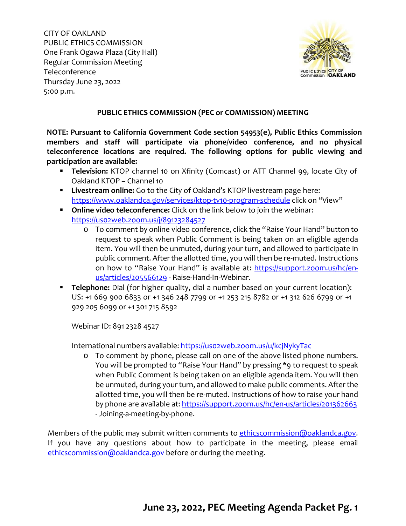CITY OF OAKLAND PUBLIC ETHICS COMMISSION One Frank Ogawa Plaza (City Hall) Regular Commission Meeting Teleconference Thursday June 23, 2022 5:00 p.m.



### **PUBLIC ETHICS COMMISSION (PEC or COMMISSION) MEETING**

**NOTE: Pursuant to California Government Code section 54953(e), Public Ethics Commission members and staff will participate via phone/video conference, and no physical teleconference locations are required. The following options for public viewing and participation are available:**

- **Television:** KTOP channel 10 on Xfinity (Comcast) or ATT Channel 99, locate City of Oakland KTOP – Channel 10
- **Livestream online:** Go to the City of Oakland's KTOP livestream page here: <https://www.oaklandca.gov/services/ktop-tv10-program-schedule> click on "View"
- **Online video teleconference:** Click on the link below to join the webinar: <https://us02web.zoom.us/j/89123284527>
	- o To comment by online video conference, click the "Raise Your Hand" button to request to speak when Public Comment is being taken on an eligible agenda item. You will then be unmuted, during your turn, and allowed to participate in public comment. After the allotted time, you will then be re-muted. Instructions on how to "Raise Your Hand" is available at: [https://support.zoom.us/hc/en](https://support.zoom.us/hc/en-us/articles/205566129)[us/articles/205566129](https://support.zoom.us/hc/en-us/articles/205566129) - Raise-Hand-In-Webinar.
- **Telephone:** Dial (for higher quality, dial a number based on your current location): US: +1 669 900 6833 or +1 346 248 7799 or +1 253 215 8782 or +1 312 626 6799 or +1 929 205 6099 or +1 301 715 8592

Webinar ID: 891 2328 4527

International numbers available: https://uso2web.zoom.us/u/kcjNykyTac

o To comment by phone, please call on one of the above listed phone numbers. You will be prompted to "Raise Your Hand" by pressing \*9 to request to speak when Public Comment is being taken on an eligible agenda item. You will then be unmuted, during your turn, and allowed to make public comments. After the allotted time, you will then be re-muted. Instructions of how to raise your hand by phone are available at: <https://support.zoom.us/hc/en-us/articles/201362663> - Joining-a-meeting-by-phone.

Members of the public may submit written comments to [ethicscommission@oaklandca.gov.](mailto:ethicscommission@oaklandca.gov) If you have any questions about how to participate in the meeting, please email [ethicscommission@oaklandca.gov](mailto:ethicscommission@oaklandca.gov) before or during the meeting.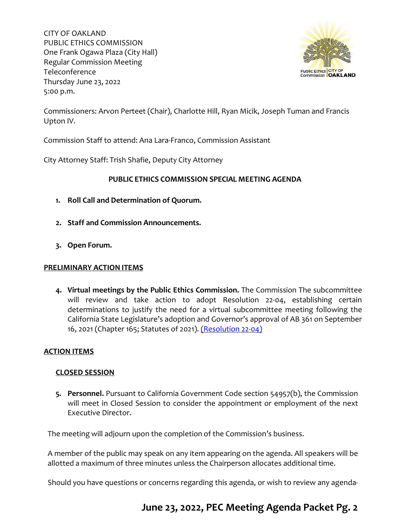CITY OF OAKLAND PUBLIC ETHICS COMMISSION One Frank Ogawa Plaza (City Hall) Regular Commission Meeting Teleconference Thursday June 23, 2022 5:00 p.m.



Commissioners: Arvon Perteet (Chair), Charlotte Hill, Ryan Micik, Joseph Tuman and Francis Upton IV.

Commission Staff to attend: Ana Lara-Franco, Commission Assistant

City Attorney Staff: Trish Shafie, Deputy City Attorney

### **PUBLIC ETHICS COMMISSION SPECIAL MEETING AGENDA**

- **1. Roll Call and Determination of Quorum.**
- **2. Staff and Commission Announcements.**
- **3. Open Forum.**

### **PRELIMINARY ACTION ITEMS**

**4. Virtual meetings by the Public Ethics Commission.** The Commission The subcommittee will review and take action to adopt Resolution 22-04, establishing certain determinations to justify the need for a virtual subcommittee meeting following the California State Legislature's adoption and Governor's approval of AB 361 on September 16, 2021 (Chapter 165; Statutes of 2021). [\(Resolution 22-04\)](https://cao-94612.s3.amazonaws.com/documents/Item-4-Resolution-22-04-Meet-by-Teleconference-PROPOSED-6-23-22_2022-06-17-175554_qlzw.pdf)

### **ACTION ITEMS**

### **CLOSED SESSION**

**5. Personnel.** Pursuant to California Government Code section 54957(b), the Commission will meet in Closed Session to consider the appointment or employment of the next Executive Director.

The meeting will adjourn upon the completion of the Commission's business.

A member of the public may speak on any item appearing on the agenda. All speakers will be allotted a maximum of three minutes unless the Chairperson allocates additional time.

Should you have questions or concerns regarding this agenda, or wish to review any agenda-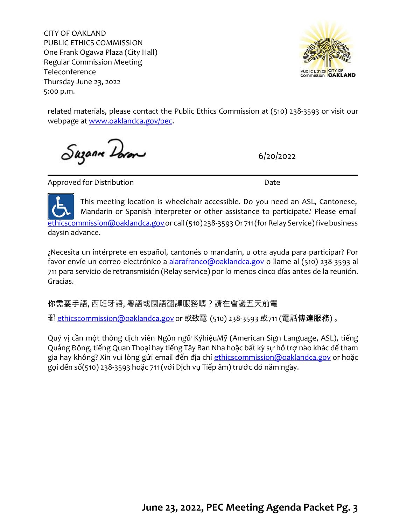CITY OF OAKLAND PUBLIC ETHICS COMMISSION One Frank Ogawa Plaza (City Hall) Regular Commission Meeting Teleconference Thursday June 23, 2022 5:00 p.m.



related materials, please contact the Public Ethics Commission at (510) 238-3593 or visit our webpage at [www.oaklandca.gov/pec.](http://www.oaklandca.gov/pec)

Suzanne Doron

6/20/2022

Approved for Distribution and the Date of Date

This meeting location is wheelchair accessible. Do you need an ASL, Cantonese, Mandarin or Spanish interpreter or other assistance to participate? Please email [ethicscommission@oaklandca.govo](mailto:ethicscommission@oaklandca.gov)r call (510) 238-3593 Or 711 (for Relay Service) five business daysin advance.

¿Necesita un intérprete en español, cantonés o mandarín, u otra ayuda para participar? Por favor envíe un correo electrónico a [alarafranco@oaklandca.gov](mailto:alarafranco@oaklandca.gov) o llame al (510) 238-3593 al 711 para servicio de retransmisión (Relay service) por lo menos cinco días antes de la reunión. Gracias.

你需要手語, 西班牙語, 粵語或國語翻譯服務嗎?請在會議五天前電

郵 [ethicscommission@oaklandca.gov](mailto:ethicscommission@oaklandca.gov) o[r](mailto:ethicscommission@oaklandca.gov) 或致電 (510) 238-3593 或711 (電話傳達服務) 。

Quý vị cần một thông dịch viên Ngôn ngữ KýhiệuMỹ (American Sign Language, ASL), tiếng Quảng Đông, tiếng Quan Thoại hay tiếng Tây Ban Nha hoặc bất kỳ sự hỗ trợ nào khác để tham gia hay không? Xin vui lòng gửi email đến địa chỉ [ethicscommission@oaklandca.gov](mailto:ethicscommission@oaklandca.gov) or hoặc gọi đến số(510) 238-3593 hoặc 711 (với Dịch vụ Tiếp âm) trước đó năm ngày.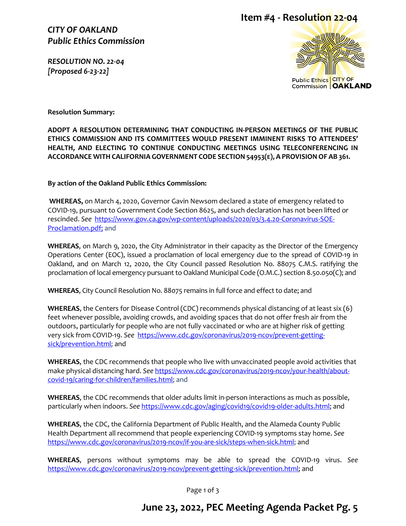*CITY OF OAKLAND Public Ethics Commission*

*RESOLUTION NO. 22-04 [Proposed 6-23-22]* 





**Resolution Summary:**

**ADOPT A RESOLUTION DETERMINING THAT CONDUCTING IN-PERSON MEETINGS OF THE PUBLIC ETHICS COMMISSION AND ITS COMMITTEES WOULD PRESENT IMMINENT RISKS TO ATTENDEES' HEALTH, AND ELECTING TO CONTINUE CONDUCTING MEETINGS USING TELECONFERENCING IN ACCORDANCE WITH CALIFORNIA GOVERNMENT CODE SECTION 54953(E), A PROVISIONOF AB 361.**

**By action of the Oakland Public Ethics Commission:**

**WHEREAS,** on March 4, 2020, Governor Gavin Newsom declared a state of emergency related to COVID-19, pursuant to Government Code Section 8625, and such declaration has not been lifted or rescinded. *See* [https://www.gov.ca.gov/wp-content/uploads/2020/03/3.4.20-Coronavirus-SOE-](https://www.gov.ca.gov/wp-content/uploads/2020/03/3.4.20-Coronavirus-SOE-Proclamation.pdf)[Proclamation.pdf;](https://www.gov.ca.gov/wp-content/uploads/2020/03/3.4.20-Coronavirus-SOE-Proclamation.pdf) and

**WHEREAS**, on March 9, 2020, the City Administrator in their capacity as the Director of the Emergency Operations Center (EOC), issued a proclamation of local emergency due to the spread of COVID-19 in Oakland, and on March 12, 2020, the City Council passed Resolution No. 88075 C.M.S. ratifying the proclamation of local emergency pursuant to Oakland Municipal Code (O.M.C.) section 8.50.050(C); and

**WHEREAS**, City Council Resolution No. 88075 remains in full force and effect to date; and

**WHEREAS**, the Centers for Disease Control (CDC) recommends physical distancing of at least six (6) feet whenever possible, avoiding crowds, and avoiding spaces that do not offer fresh air from the outdoors, particularly for people who are not fully vaccinated or who are at higher risk of getting very sick from COVID-19. *See* [https://www.cdc.gov/coronavirus/2019-ncov/prevent-getting](https://www.cdc.gov/coronavirus/2019-ncov/prevent-getting-sick/prevention.html)[sick/prevention.html;](https://www.cdc.gov/coronavirus/2019-ncov/prevent-getting-sick/prevention.html) and

**WHEREAS**, the CDC recommends that people who live with unvaccinated people avoid activities that make physical distancing hard. *See* [https://www.cdc.gov/coronavirus/2019-ncov/your-health/about](https://www.cdc.gov/coronavirus/2019-ncov/your-health/about-covid-19/caring-for-children/families.html)[covid-19/caring-for-children/families.html;](https://www.cdc.gov/coronavirus/2019-ncov/your-health/about-covid-19/caring-for-children/families.html) and

**WHEREAS**, the CDC recommends that older adults limit in-person interactions as much as possible, particularly when indoors. *See* [https://www.cdc.gov/aging/covid19/covid19-older-adults.html;](https://www.cdc.gov/aging/covid19/covid19-older-adults.html) and

**WHEREAS**, the CDC, the California Department of Public Health, and the Alameda County Public Health Department all recommend that people experiencing COVID-19 symptoms stay home. *See* [https://www.cdc.gov/coronavirus/2019-ncov/if-you-are-sick/steps-when-sick.html;](https://www.cdc.gov/coronavirus/2019-ncov/if-you-are-sick/steps-when-sick.html) and

**WHEREAS**, persons without symptoms may be able to spread the COVID-19 virus. *See*  [https://www.cdc.gov/coronavirus/2019-ncov/prevent-getting-sick/prevention.html;](https://www.cdc.gov/coronavirus/2019-ncov/prevent-getting-sick/prevention.html) and

Page 1 of 3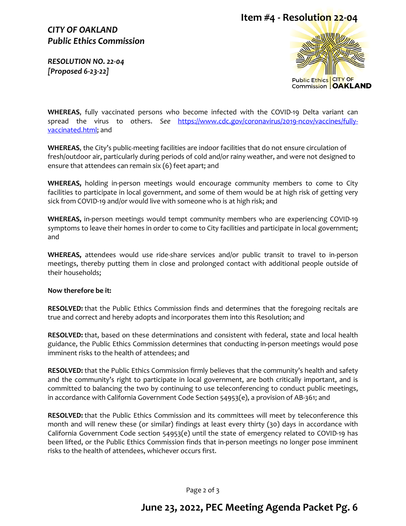# **Item #4 - Resolution 22-04**

### *CITY OF OAKLAND Public Ethics Commission*

*RESOLUTION NO. 22-04 [Proposed 6-23-22]* 



**WHEREAS**, fully vaccinated persons who become infected with the COVID-19 Delta variant can spread the virus to others. *See* [https://www.cdc.gov/coronavirus/2019-ncov/vaccines/fully](https://www.cdc.gov/coronavirus/2019-ncov/vaccines/fully-vaccinated.html)[vaccinated.html;](https://www.cdc.gov/coronavirus/2019-ncov/vaccines/fully-vaccinated.html) and

**WHEREAS**, the City's public-meeting facilities are indoor facilities that do not ensure circulation of fresh/outdoor air, particularly during periods of cold and/or rainy weather, and were not designed to ensure that attendees can remain six (6) feet apart; and

**WHEREAS,** holding in-person meetings would encourage community members to come to City facilities to participate in local government, and some of them would be at high risk of getting very sick from COVID-19 and/or would live with someone who is at high risk; and

**WHEREAS,** in-person meetings would tempt community members who are experiencing COVID-19 symptoms to leave their homes in order to come to City facilities and participate in local government; and

**WHEREAS,** attendees would use ride-share services and/or public transit to travel to in-person meetings, thereby putting them in close and prolonged contact with additional people outside of their households;

#### **Now therefore be it:**

**RESOLVED:** that the Public Ethics Commission finds and determines that the foregoing recitals are true and correct and hereby adopts and incorporates them into this Resolution; and

**RESOLVED:** that, based on these determinations and consistent with federal, state and local health guidance, the Public Ethics Commission determines that conducting in-person meetings would pose imminent risks to the health of attendees; and

**RESOLVED:** that the Public Ethics Commission firmly believes that the community's health and safety and the community's right to participate in local government, are both critically important, and is committed to balancing the two by continuing to use teleconferencing to conduct public meetings, in accordance with California Government Code Section 54953(e), a provision of AB-361; and

**RESOLVED:** that the Public Ethics Commission and its committees will meet by teleconference this month and will renew these (or similar) findings at least every thirty (30) days in accordance with California Government Code section 54953(e) until the state of emergency related to COVID-19 has been lifted, or the Public Ethics Commission finds that in-person meetings no longer pose imminent risks to the health of attendees, whichever occurs first.

Page 2 of 3